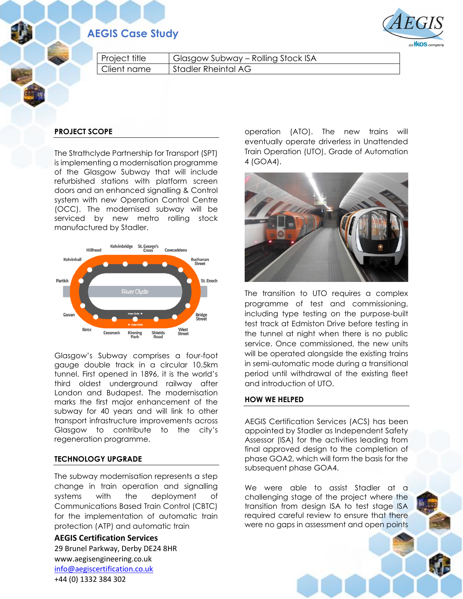# **AEGIS Case Study**



| $\vert$ Project title | Glasgow Subway – Rolling Stock ISA |
|-----------------------|------------------------------------|
| Client name           | Stadler Rheintal AG                |

## **PROJECT SCOPE**

The Strathclyde Partnership for Transport (SPT) is implementing a modernisation programme of the Glasgow Subway that will include refurbished stations with platform screen doors and an enhanced signalling & Control system with new Operation Control Centre (OCC). The modernised subway will be serviced by new metro rolling stock manufactured by Stadler.



Glasgow's Subway comprises a four-foot gauge double track in a circular 10.5km tunnel. First opened in 1896, it is the world's third oldest underground railway after London and Budapest. The modernisation marks the first major enhancement of the subway for 40 years and will link to other transport infrastructure improvements across Glasgow to contribute to the city's regeneration programme.

#### **TECHNOLOGY UPGRADE**

The subway modernisation represents a step change in train operation and signalling systems with the deployment of Communications Based Train Control (CBTC) for the implementation of automatic train protection (ATP) and automatic train

**AEGIS Certification Services** 29 Brunel Parkway, Derby DE24 8HR www.aegisengineering.co.uk [info@aegiscertification.co.uk](mailto:info@aegiscertification.co.uk) +44 (0) 1332 384 302

operation (ATO). The new trains will eventually operate driverless in Unattended Train Operation (UTO), Grade of Automation 4 (GOA4).



The transition to UTO requires a complex programme of test and commissioning, including type testing on the purpose-built test track at Edmiston Drive before testing in the tunnel at night when there is no public service. Once commissioned, the new units will be operated alongside the existing trains in semi-automatic mode during a transitional period until withdrawal of the existing fleet and introduction of UTO.

### **HOW WE HELPED**

AEGIS Certification Services (ACS) has been appointed by Stadler as Independent Safety Assessor (ISA) for the activities leading from final approved design to the completion of phase GOA2, which will form the basis for the subsequent phase GOA4.

We were able to assist Stadler at a challenging stage of the project where the transition from design ISA to test stage ISA required careful review to ensure that there were no gaps in assessment and open points